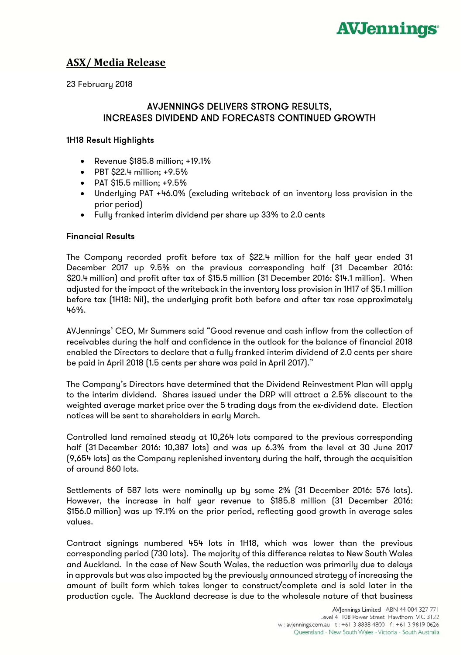

# **ASX/ Media Release**

23 February 2018

# AVJENNINGS DELIVERS STRONG RESULTS, INCREASES DIVIDEND AND FORECASTS CONTINUED GROWTH

### 1H18 Result Highlights

- Revenue \$185.8 million; +19.1%
- PBT \$22.4 million; +9.5%
- PAT \$15.5 million; +9.5%
- Underlying PAT +46.0% (excluding writeback of an inventory loss provision in the prior period)
- Fully franked interim dividend per share up 33% to 2.0 cents

#### Financial Results

The Company recorded profit before tax of \$22.4 million for the half year ended 31 December 2017 up 9.5% on the previous corresponding half (31 December 2016: \$20.4 million) and profit after tax of \$15.5 million (31 December 2016: \$14.1 million). When adjusted for the impact of the writeback in the inventory loss provision in 1H17 of \$5.1 million before tax (1H18: Nil), the underlying profit both before and after tax rose approximately 46%.

AVJennings' CEO, Mr Summers said "Good revenue and cash inflow from the collection of receivables during the half and confidence in the outlook for the balance of financial 2018 enabled the Directors to declare that a fully franked interim dividend of 2.0 cents per share be paid in April 2018 (1.5 cents per share was paid in April 2017)."

The Company's Directors have determined that the Dividend Reinvestment Plan will apply to the interim dividend. Shares issued under the DRP will attract a 2.5% discount to the weighted average market price over the 5 trading days from the ex-dividend date. Election notices will be sent to shareholders in early March.

Controlled land remained steady at 10,264 lots compared to the previous corresponding half (31 December 2016: 10,387 lots) and was up 6.3% from the level at 30 June 2017 (9,654 lots) as the Company replenished inventory during the half, through the acquisition of around 860 lots.

Settlements of 587 lots were nominally up by some 2% (31 December 2016: 576 lots). However, the increase in half year revenue to \$185.8 million (31 December 2016: \$156.0 million) was up 19.1% on the prior period, reflecting good growth in average sales values.

Contract signings numbered 454 lots in 1H18, which was lower than the previous corresponding period (730 lots). The majority of this difference relates to New South Wales and Auckland. In the case of New South Wales, the reduction was primarily due to delays in approvals but was also impacted by the previously announced strategy of increasing the amount of built form which takes longer to construct/complete and is sold later in the production cycle. The Auckland decrease is due to the wholesale nature of that business